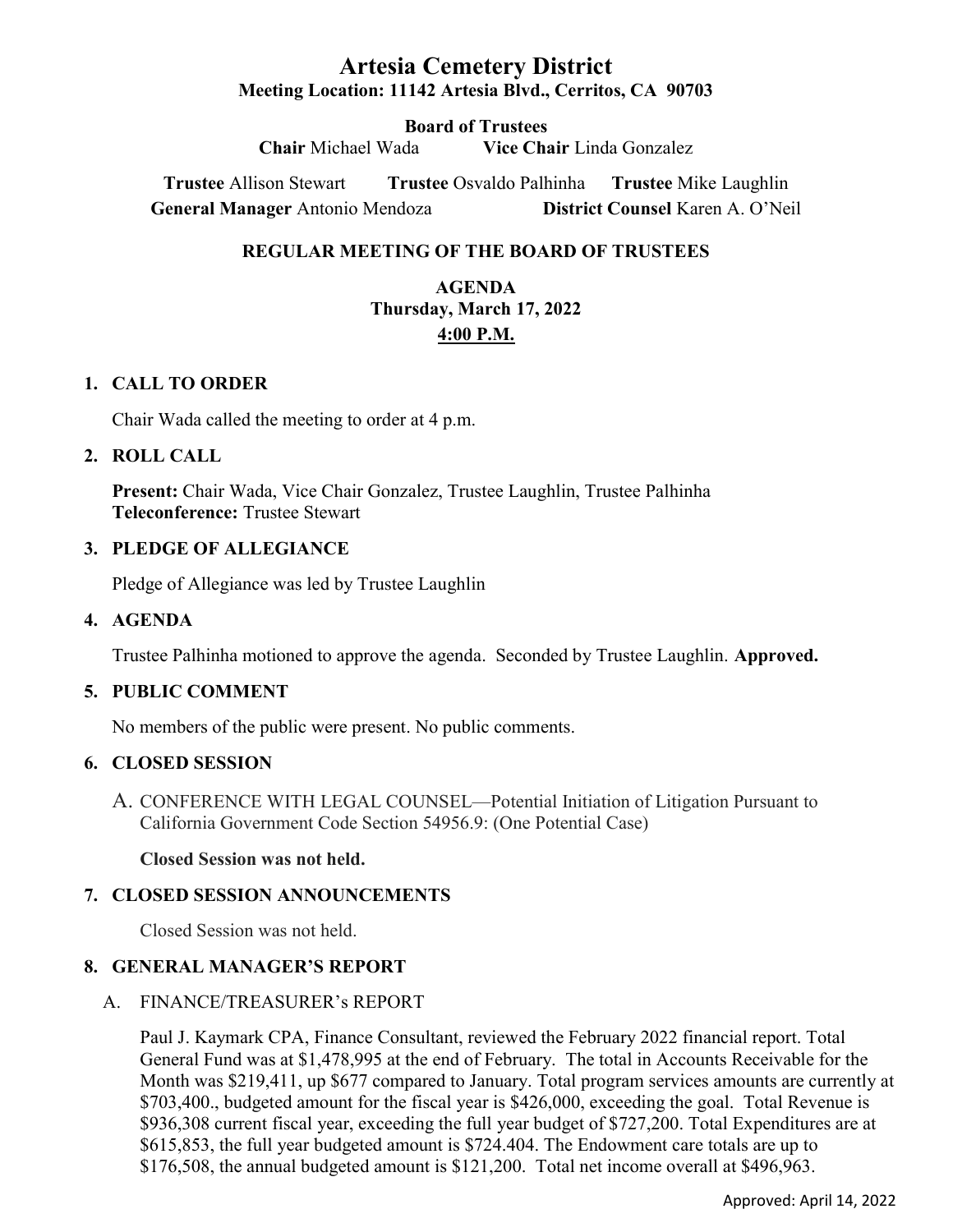# Artesia Cemetery District Meeting Location: 11142 Artesia Blvd., Cerritos, CA 90703

Board of Trustees Chair Michael Wada Vice Chair Linda Gonzalez

Trustee Allison Stewart Trustee Osvaldo Palhinha Trustee Mike Laughlin General Manager Antonio Mendoza District Counsel Karen A. O'Neil

## REGULAR MEETING OF THE BOARD OF TRUSTEES

# AGENDA Thursday, March 17, 2022 4:00 P.M.

### 1. CALL TO ORDER

Chair Wada called the meeting to order at 4 p.m.

### 2. ROLL CALL

Present: Chair Wada, Vice Chair Gonzalez, Trustee Laughlin, Trustee Palhinha Teleconference: Trustee Stewart

### 3. PLEDGE OF ALLEGIANCE

Pledge of Allegiance was led by Trustee Laughlin

### 4. AGENDA

Trustee Palhinha motioned to approve the agenda. Seconded by Trustee Laughlin. Approved.

### 5. PUBLIC COMMENT

No members of the public were present. No public comments.

## 6. CLOSED SESSION

A. CONFERENCE WITH LEGAL COUNSEL—Potential Initiation of Litigation Pursuant to California Government Code Section 54956.9: (One Potential Case)

Closed Session was not held.

# 7. CLOSED SESSION ANNOUNCEMENTS

Closed Session was not held.

# 8. GENERAL MANAGER'S REPORT

### A. FINANCE/TREASURER's REPORT

Paul J. Kaymark CPA, Finance Consultant, reviewed the February 2022 financial report. Total General Fund was at \$1,478,995 at the end of February. The total in Accounts Receivable for the Month was \$219,411, up \$677 compared to January. Total program services amounts are currently at \$703,400., budgeted amount for the fiscal year is \$426,000, exceeding the goal. Total Revenue is \$936,308 current fiscal year, exceeding the full year budget of \$727,200. Total Expenditures are at \$615,853, the full year budgeted amount is \$724.404. The Endowment care totals are up to \$176,508, the annual budgeted amount is \$121,200. Total net income overall at \$496,963.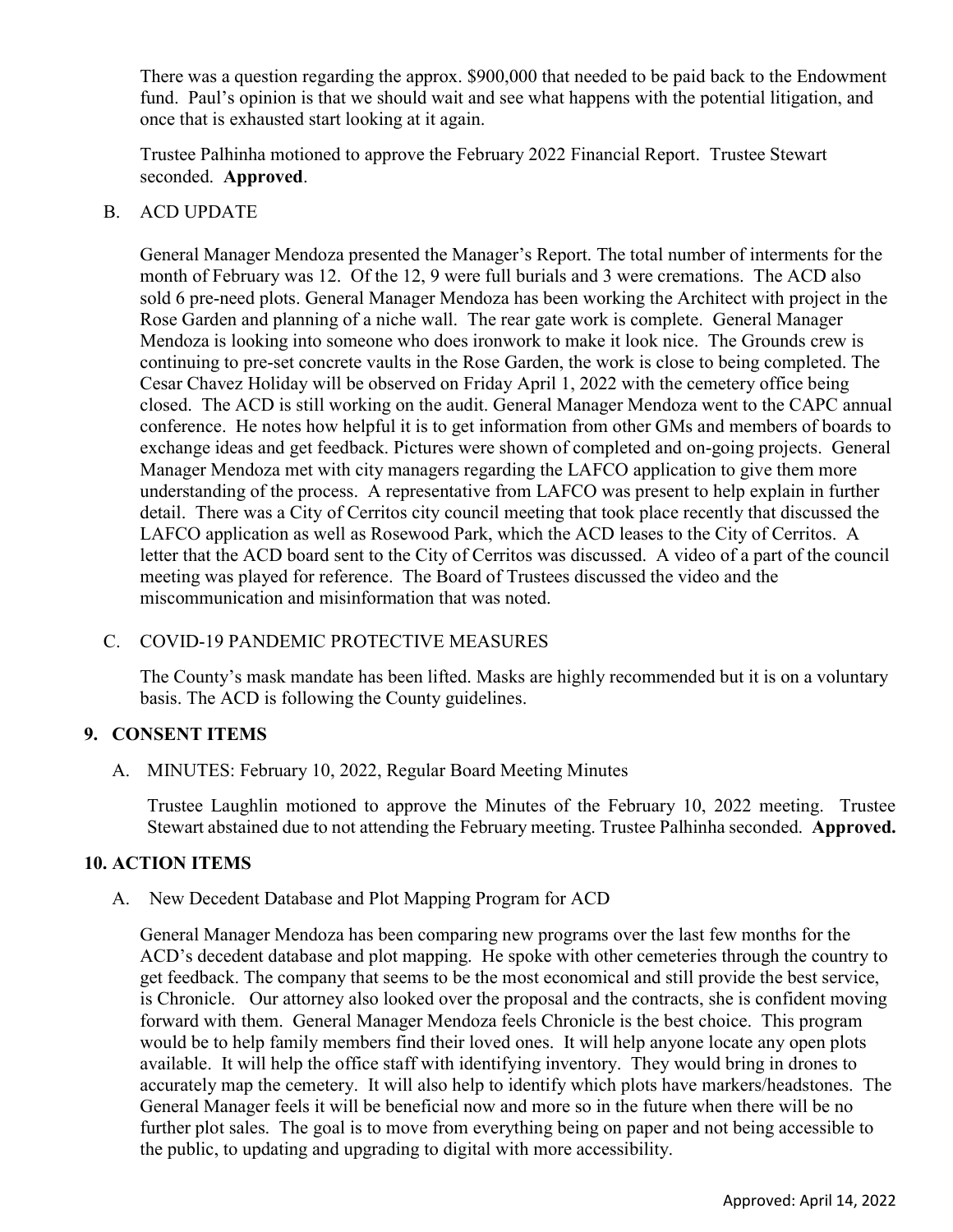There was a question regarding the approx. \$900,000 that needed to be paid back to the Endowment fund. Paul's opinion is that we should wait and see what happens with the potential litigation, and once that is exhausted start looking at it again.

Trustee Palhinha motioned to approve the February 2022 Financial Report. Trustee Stewart seconded. Approved.

### B. ACD UPDATE

General Manager Mendoza presented the Manager's Report. The total number of interments for the month of February was 12. Of the 12, 9 were full burials and 3 were cremations. The ACD also sold 6 pre-need plots. General Manager Mendoza has been working the Architect with project in the Rose Garden and planning of a niche wall. The rear gate work is complete. General Manager Mendoza is looking into someone who does ironwork to make it look nice. The Grounds crew is continuing to pre-set concrete vaults in the Rose Garden, the work is close to being completed. The Cesar Chavez Holiday will be observed on Friday April 1, 2022 with the cemetery office being closed. The ACD is still working on the audit. General Manager Mendoza went to the CAPC annual conference. He notes how helpful it is to get information from other GMs and members of boards to exchange ideas and get feedback. Pictures were shown of completed and on-going projects. General Manager Mendoza met with city managers regarding the LAFCO application to give them more understanding of the process. A representative from LAFCO was present to help explain in further detail. There was a City of Cerritos city council meeting that took place recently that discussed the LAFCO application as well as Rosewood Park, which the ACD leases to the City of Cerritos. A letter that the ACD board sent to the City of Cerritos was discussed. A video of a part of the council meeting was played for reference. The Board of Trustees discussed the video and the miscommunication and misinformation that was noted.

### C. COVID-19 PANDEMIC PROTECTIVE MEASURES

The County's mask mandate has been lifted. Masks are highly recommended but it is on a voluntary basis. The ACD is following the County guidelines.

# 9. CONSENT ITEMS

A. MINUTES: February 10, 2022, Regular Board Meeting Minutes

Trustee Laughlin motioned to approve the Minutes of the February 10, 2022 meeting. Trustee Stewart abstained due to not attending the February meeting. Trustee Palhinha seconded. Approved.

### 10. ACTION ITEMS

A. New Decedent Database and Plot Mapping Program for ACD

General Manager Mendoza has been comparing new programs over the last few months for the ACD's decedent database and plot mapping. He spoke with other cemeteries through the country to get feedback. The company that seems to be the most economical and still provide the best service, is Chronicle. Our attorney also looked over the proposal and the contracts, she is confident moving forward with them. General Manager Mendoza feels Chronicle is the best choice. This program would be to help family members find their loved ones. It will help anyone locate any open plots available. It will help the office staff with identifying inventory. They would bring in drones to accurately map the cemetery. It will also help to identify which plots have markers/headstones. The General Manager feels it will be beneficial now and more so in the future when there will be no further plot sales. The goal is to move from everything being on paper and not being accessible to the public, to updating and upgrading to digital with more accessibility.